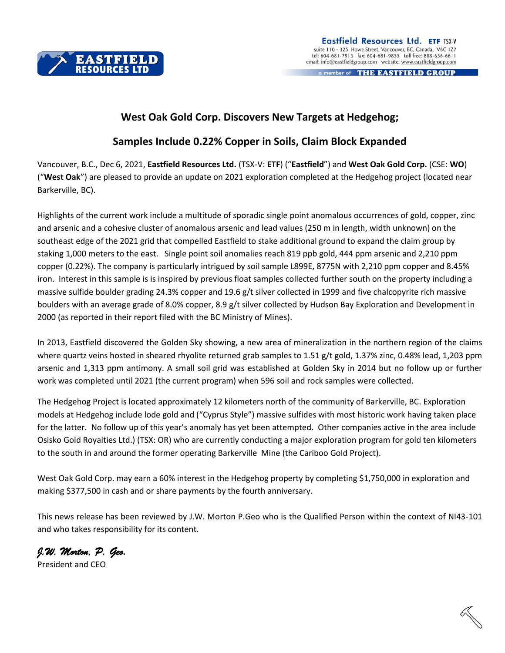

a member of THE EASTFIELD GROUP

## **West Oak Gold Corp. Discovers New Targets at Hedgehog;**

## **Samples Include 0.22% Copper in Soils, Claim Block Expanded**

Vancouver, B.C., Dec 6, 2021, **Eastfield Resources Ltd.** (TSX-V: **ETF**) ("**Eastfield**") and **West Oak Gold Corp.** (CSE: **WO**) ("**West Oak**") are pleased to provide an update on 2021 exploration completed at the Hedgehog project (located near Barkerville, BC).

Highlights of the current work include a multitude of sporadic single point anomalous occurrences of gold, copper, zinc and arsenic and a cohesive cluster of anomalous arsenic and lead values (250 m in length, width unknown) on the southeast edge of the 2021 grid that compelled Eastfield to stake additional ground to expand the claim group by staking 1,000 meters to the east. Single point soil anomalies reach 819 ppb gold, 444 ppm arsenic and 2,210 ppm copper (0.22%). The company is particularly intrigued by soil sample L899E, 8775N with 2,210 ppm copper and 8.45% iron. Interest in this sample is is inspired by previous float samples collected further south on the property including a massive sulfide boulder grading 24.3% copper and 19.6 g/t silver collected in 1999 and five chalcopyrite rich massive boulders with an average grade of 8.0% copper, 8.9 g/t silver collected by Hudson Bay Exploration and Development in 2000 (as reported in their report filed with the BC Ministry of Mines).

In 2013, Eastfield discovered the Golden Sky showing, a new area of mineralization in the northern region of the claims where quartz veins hosted in sheared rhyolite returned grab samples to 1.51 g/t gold, 1.37% zinc, 0.48% lead, 1,203 ppm arsenic and 1,313 ppm antimony. A small soil grid was established at Golden Sky in 2014 but no follow up or further work was completed until 2021 (the current program) when 596 soil and rock samples were collected.

The Hedgehog Project is located approximately 12 kilometers north of the community of Barkerville, BC. Exploration models at Hedgehog include lode gold and ("Cyprus Style") massive sulfides with most historic work having taken place for the latter. No follow up of this year's anomaly has yet been attempted. Other companies active in the area include Osisko Gold Royalties Ltd.) (TSX: OR) who are currently conducting a major exploration program for gold ten kilometers to the south in and around the former operating Barkerville Mine (the Cariboo Gold Project).

West Oak Gold Corp. may earn a 60% interest in the Hedgehog property by completing \$1,750,000 in exploration and making \$377,500 in cash and or share payments by the fourth anniversary.

This news release has been reviewed by J.W. Morton P.Geo who is the Qualified Person within the context of NI43-101 and who takes responsibility for its content.

*J.W. Morton, P. Geo.*

President and CEO